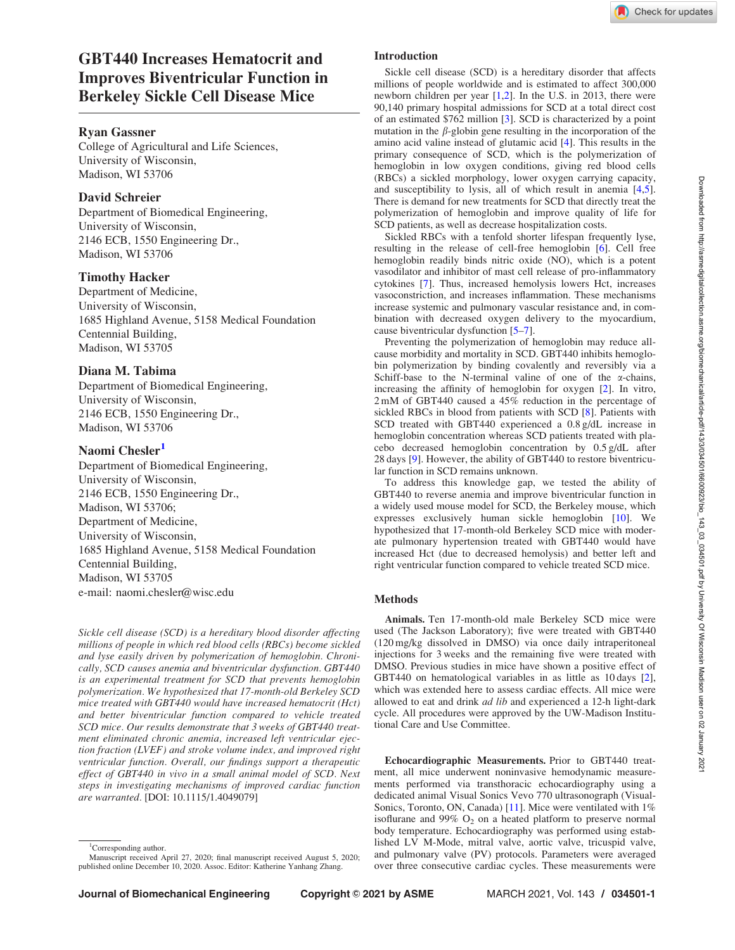# GBT440 Increases Hematocrit and Improves Biventricular Function in Berkeley Sickle Cell Disease Mice

### Ryan Gassner

College of Agricultural and Life Sciences, University of Wisconsin, Madison, WI 53706

# David Schreier

Department of Biomedical Engineering, University of Wisconsin, 2146 ECB, 1550 Engineering Dr., Madison, WI 53706

#### Timothy Hacker

Department of Medicine, University of Wisconsin, 1685 Highland Avenue, 5158 Medical Foundation Centennial Building, Madison, WI 53705

### Diana M. Tabima

Department of Biomedical Engineering, University of Wisconsin, 2146 ECB, 1550 Engineering Dr., Madison, WI 53706

#### Naomi Chesler<sup>1</sup>

Department of Biomedical Engineering, University of Wisconsin, 2146 ECB, 1550 Engineering Dr., Madison, WI 53706; Department of Medicine, University of Wisconsin, 1685 Highland Avenue, 5158 Medical Foundation Centennial Building, Madison, WI 53705 e-mail: naomi.chesler@wisc.edu

Sickle cell disease (SCD) is a hereditary blood disorder affecting millions of people in which red blood cells (RBCs) become sickled and lyse easily driven by polymerization of hemoglobin. Chronically, SCD causes anemia and biventricular dysfunction. GBT440 is an experimental treatment for SCD that prevents hemoglobin polymerization. We hypothesized that 17-month-old Berkeley SCD mice treated with GBT440 would have increased hematocrit (Hct) and better biventricular function compared to vehicle treated SCD mice. Our results demonstrate that 3 weeks of GBT440 treatment eliminated chronic anemia, increased left ventricular ejection fraction (LVEF) and stroke volume index, and improved right ventricular function. Overall, our findings support a therapeutic effect of GBT440 in vivo in a small animal model of SCD. Next steps in investigating mechanisms of improved cardiac function are warranted. [DOI: 10.1115/1.4049079]

Sickle cell disease (SCD) is a hereditary disorder that affects millions of people worldwide and is estimated to affect 300,000 newborn children per year [1,2]. In the U.S. in 2013, there were 90,140 primary hospital admissions for SCD at a total direct cost of an estimated \$762 million [3]. SCD is characterized by a point mutation in the  $\beta$ -globin gene resulting in the incorporation of the amino acid valine instead of glutamic acid [4]. This results in the primary consequence of SCD, which is the polymerization of hemoglobin in low oxygen conditions, giving red blood cells (RBCs) a sickled morphology, lower oxygen carrying capacity, and susceptibility to lysis, all of which result in anemia [4,5]. There is demand for new treatments for SCD that directly treat the polymerization of hemoglobin and improve quality of life for SCD patients, as well as decrease hospitalization costs.

Sickled RBCs with a tenfold shorter lifespan frequently lyse, resulting in the release of cell-free hemoglobin [6]. Cell free hemoglobin readily binds nitric oxide (NO), which is a potent vasodilator and inhibitor of mast cell release of pro-inflammatory cytokines [7]. Thus, increased hemolysis lowers Hct, increases vasoconstriction, and increases inflammation. These mechanisms increase systemic and pulmonary vascular resistance and, in combination with decreased oxygen delivery to the myocardium, cause biventricular dysfunction [5–7].

Preventing the polymerization of hemoglobin may reduce allcause morbidity and mortality in SCD. GBT440 inhibits hemoglobin polymerization by binding covalently and reversibly via a Schiff-base to the N-terminal valine of one of the  $\alpha$ -chains, increasing the affinity of hemoglobin for oxygen [2]. In vitro, 2 mM of GBT440 caused a 45% reduction in the percentage of sickled RBCs in blood from patients with SCD [8]. Patients with SCD treated with GBT440 experienced a 0.8 g/dL increase in hemoglobin concentration whereas SCD patients treated with placebo decreased hemoglobin concentration by 0.5 g/dL after 28 days [9]. However, the ability of GBT440 to restore biventricular function in SCD remains unknown.

To address this knowledge gap, we tested the ability of GBT440 to reverse anemia and improve biventricular function in a widely used mouse model for SCD, the Berkeley mouse, which expresses exclusively human sickle hemoglobin [10]. We hypothesized that 17-month-old Berkeley SCD mice with moderate pulmonary hypertension treated with GBT440 would have increased Hct (due to decreased hemolysis) and better left and right ventricular function compared to vehicle treated SCD mice.

# Methods

Animals. Ten 17-month-old male Berkeley SCD mice were used (The Jackson Laboratory); five were treated with GBT440 (120 mg/kg dissolved in DMSO) via once daily intraperitoneal injections for 3 weeks and the remaining five were treated with DMSO. Previous studies in mice have shown a positive effect of GBT440 on hematological variables in as little as 10 days [2], which was extended here to assess cardiac effects. All mice were allowed to eat and drink ad lib and experienced a 12-h light-dark cycle. All procedures were approved by the UW-Madison Institutional Care and Use Committee.

Echocardiographic Measurements. Prior to GBT440 treatment, all mice underwent noninvasive hemodynamic measurements performed via transthoracic echocardiography using a dedicated animal Visual Sonics Vevo 770 ultrasonograph (Visual-Sonics, Toronto, ON, Canada) [11]. Mice were ventilated with 1% isoflurane and 99%  $O_2$  on a heated platform to preserve normal body temperature. Echocardiography was performed using established LV M-Mode, mitral valve, aortic valve, tricuspid valve, and pulmonary valve (PV) protocols. Parameters were averaged over three consecutive cardiac cycles. These measurements were

<sup>&</sup>lt;sup>1</sup>Corresponding author.

Manuscript received April 27, 2020; final manuscript received August 5, 2020; published online December 10, 2020. Assoc. Editor: Katherine Yanhang Zhang.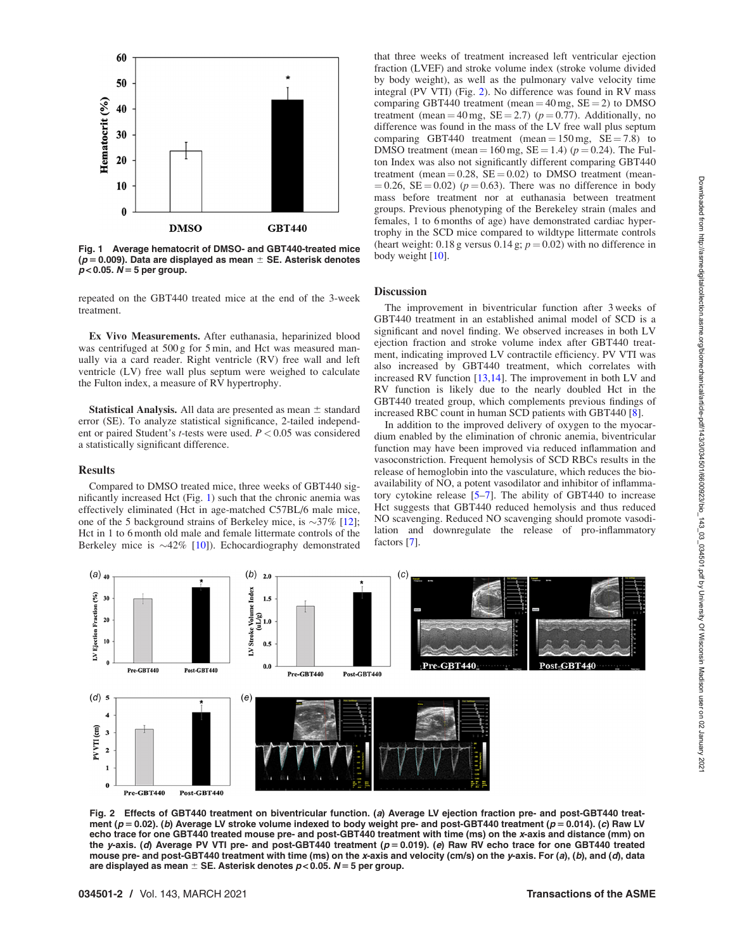

Fig. 1 Average hematocrit of DMSO- and GBT440-treated mice ( $p = 0.009$ ). Data are displayed as mean  $\pm$  SE. Asterisk denotes  $p < 0.05$ .  $N = 5$  per group.

repeated on the GBT440 treated mice at the end of the 3-week treatment.

Ex Vivo Measurements. After euthanasia, heparinized blood was centrifuged at 500 g for 5 min, and Hct was measured manually via a card reader. Right ventricle (RV) free wall and left ventricle (LV) free wall plus septum were weighed to calculate the Fulton index, a measure of RV hypertrophy.

**Statistical Analysis.** All data are presented as mean  $\pm$  standard error (SE). To analyze statistical significance, 2-tailed independent or paired Student's *t*-tests were used.  $P < 0.05$  was considered a statistically significant difference.

#### Results

Compared to DMSO treated mice, three weeks of GBT440 significantly increased Hct (Fig. 1) such that the chronic anemia was effectively eliminated (Hct in age-matched C57BL/6 male mice, one of the 5 background strains of Berkeley mice, is  $\sim$ 37% [12]; Hct in 1 to 6 month old male and female littermate controls of the Berkeley mice is  $\sim$ 42% [10]). Echocardiography demonstrated

that three weeks of treatment increased left ventricular ejection fraction (LVEF) and stroke volume index (stroke volume divided by body weight), as well as the pulmonary valve velocity time integral (PV VTI) (Fig. 2). No difference was found in RV mass comparing GBT440 treatment (mean =  $40 \text{ mg}$ , SE = 2) to DMSO treatment (mean = 40 mg,  $SE = 2.7$ ) ( $p = 0.77$ ). Additionally, no difference was found in the mass of the LV free wall plus septum comparing GBT440 treatment (mean =  $150 \text{ mg}$ , SE = 7.8) to DMSO treatment (mean =  $160 \text{ mg}$ , SE = 1.4) ( $p = 0.24$ ). The Fulton Index was also not significantly different comparing GBT440 treatment (mean  $= 0.28$ ,  $SE = 0.02$ ) to DMSO treatment (mean- $(0.26, \text{SE} = 0.02)$  ( $p = 0.63$ ). There was no difference in body mass before treatment nor at euthanasia between treatment groups. Previous phenotyping of the Berekeley strain (males and females, 1 to 6 months of age) have demonstrated cardiac hypertrophy in the SCD mice compared to wildtype littermate controls (heart weight: 0.18 g versus 0.14 g;  $p = 0.02$ ) with no difference in body weight [10].

#### **Discussion**

The improvement in biventricular function after 3 weeks of GBT440 treatment in an established animal model of SCD is a significant and novel finding. We observed increases in both LV ejection fraction and stroke volume index after GBT440 treatment, indicating improved LV contractile efficiency. PV VTI was also increased by GBT440 treatment, which correlates with increased RV function [13,14]. The improvement in both LV and RV function is likely due to the nearly doubled Hct in the GBT440 treated group, which complements previous findings of increased RBC count in human SCD patients with GBT440 [8].

In addition to the improved delivery of oxygen to the myocardium enabled by the elimination of chronic anemia, biventricular function may have been improved via reduced inflammation and vasoconstriction. Frequent hemolysis of SCD RBCs results in the release of hemoglobin into the vasculature, which reduces the bioavailability of NO, a potent vasodilator and inhibitor of inflammatory cytokine release [5–7]. The ability of GBT440 to increase Hct suggests that GBT440 reduced hemolysis and thus reduced NO scavenging. Reduced NO scavenging should promote vasodilation and downregulate the release of pro-inflammatory factors [7].



Fig. 2 Effects of GBT440 treatment on biventricular function. (a) Average LV ejection fraction pre- and post-GBT440 treatment ( $p = 0.02$ ). (b) Average LV stroke volume indexed to body weight pre- and post-GBT440 treatment ( $p = 0.014$ ). (c) Raw LV echo trace for one GBT440 treated mouse pre- and post-GBT440 treatment with time (ms) on the x-axis and distance (mm) on the y-axis. (d) Average PV VTI pre- and post-GBT440 treatment  $(p = 0.019)$ . (e) Raw RV echo trace for one GBT440 treated mouse pre- and post-GBT440 treatment with time (ms) on the x-axis and velocity (cm/s) on the y-axis. For (a), (b), and (d), data are displayed as mean  $\pm$  SE. Asterisk denotes  $p < 0.05$ . N = 5 per group.